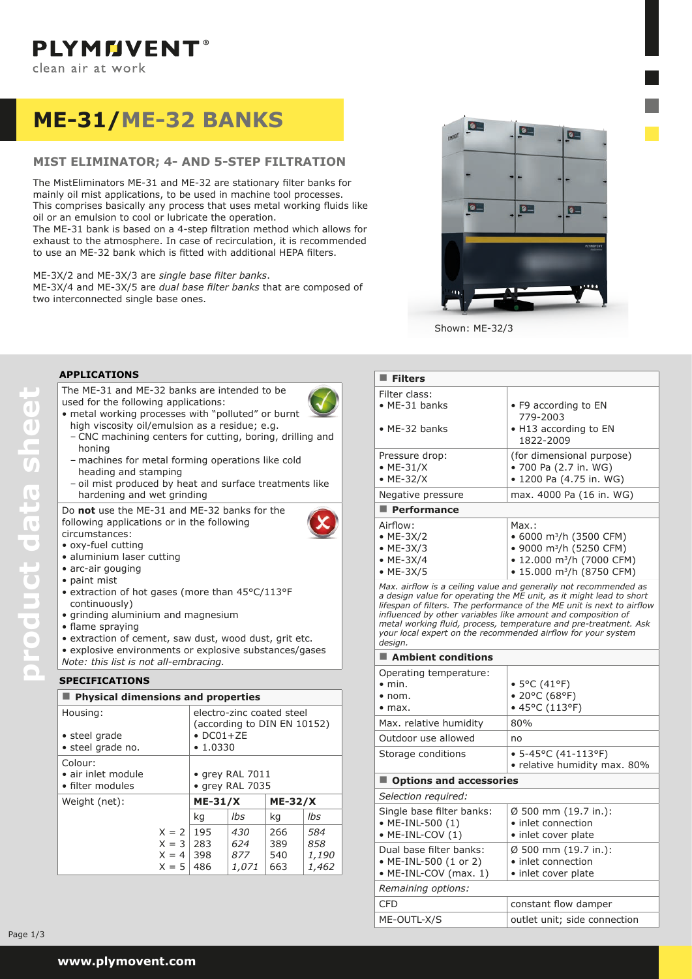# **ME-31/ME-32 bankS**

# **MIST ELIMINATOR; 4- and 5-step FILTRATION**

The MistEliminators ME-31 and ME-32 are stationary filter banks for mainly oil mist applications, to be used in machine tool processes. This comprises basically any process that uses metal working fluids like oil or an emulsion to cool or lubricate the operation.

The ME-31 bank is based on a 4-step filtration method which allows for exhaust to the atmosphere. In case of recirculation, it is recommended to use an ME-32 bank which is fitted with additional HEPA filters.

ME-3X/2 and ME-3X/3 are *single base filter banks*. ME-3X/4 and ME-3X/5 are *dual base filter banks* that are composed of two interconnected single base ones.



Shown: ME-32/3

## **applications**

The ME-31 and ME-32 banks are intended to be used for the following applications:

- 
- metal working processes with "polluted" or burnt
	- high viscosity oil/emulsion as a residue; e.g. – CNC machining centers for cutting, boring, drilling and honing
	- machines for metal forming operations like cold heading and stamping
- oil mist produced by heat and surface treatments like hardening and wet grinding

Do **not** use the ME-31 and ME-32 banks for the following applications or in the following



circumstances: • oxy-fuel cutting

- aluminium laser cutting
- arc-air gouging
- • paint mist

**product data sheet**

product data sheet

- extraction of hot gases (more than 45°C/113°F continuously)
- • grinding aluminium and magnesium
- • flame spraying
- extraction of cement, saw dust, wood dust, grit etc.

• explosive environments or explosive substances/gases *Note: this list is not all-embracing.*

## **speCIFICATIONS**

| <b>Physical dimensions and properties</b>                 |                                          |                                            |                                                          |                          |                                     |
|-----------------------------------------------------------|------------------------------------------|--------------------------------------------|----------------------------------------------------------|--------------------------|-------------------------------------|
| Housing:<br>• steel grade<br>· steel grade no.            |                                          | $\bullet$ DC01+ZE<br>$\cdot$ 1.0330        | electro-zinc coated steel<br>(according to DIN EN 10152) |                          |                                     |
| Colour:<br>$\bullet$ air inlet module<br>• filter modules |                                          | $\bullet$ grey RAL 7011<br>• grey RAL 7035 |                                                          |                          |                                     |
| Weight (net):                                             |                                          | $ME-31/X$<br>$ME-32/X$                     |                                                          |                          |                                     |
|                                                           |                                          | kg                                         | lbs                                                      | kg                       | lbs                                 |
|                                                           | $X = 2$<br>$X = 3$<br>$X = 4$<br>$X = 5$ | 195<br>283<br>398<br>486                   | 430<br>624<br>877<br>1,071                               | 266<br>389<br>540<br>663 | 584<br>858<br><i>1,190</i><br>1,462 |

#### **Filters** Filter class: • ME-31 banks • ME-32 banks • F9 according to EN 779-2003 • H13 according to EN 1822-2009 Pressure drop: • ME-31/X • ME-32/X (for dimensional purpose) • 700 Pa  $(2.7 \text{ in. WG})$ • 1200 Pa (4.75 in. WG) Negative pressure max. 4000 Pa (16 in. WG) **Performance** Airflow: • ME-3X/2 • ME-3X/3 • ME-3X/4 • ME-3X/5 Max.: • 6000 m<sup>3</sup>/h (3500 CFM) • 9000 m3/h (5250 CFM) • 12.000 m<sup>3</sup>/h (7000 CFM) • 15.000 m<sup>3</sup>/h (8750 CFM) *Max. airflow is a ceiling value and generally not recommended as a design value for operating the ME unit, as it might lead to short lifespan of filters. The performance of the ME unit is next to airflow influenced by other variables like amount and composition of metal working fluid, process, temperature and pre-treatment. Ask your local expert on the recommended airflow for your system design.* **Ambient conditions** Operating temperature: • min.  $\bullet$  nom. • max. • 5°C (41°F) • 20°C (68°F) • 45°C (113°F) Max. relative humidity  $80\%$ Outdoor use allowed a no Storage conditions  $\bullet$  5-45°C (41-113°F) • relative humidity max. 80% **Options and accessories** *Selection required:* Single base filter banks: • ME-INL-500 (1) • ME-INL-COV (1) Ø 500 mm (19.7 in.): • inlet connection • inlet cover plate Dual base filter banks: • ME-INL-500 (1 or 2) • ME-INL-COV (max. 1) Ø 500 mm (19.7 in.): • inlet connection • inlet cover plate *Remaining options:*

CFD constant flow damper ME-OUTL-X/S outlet unit; side connection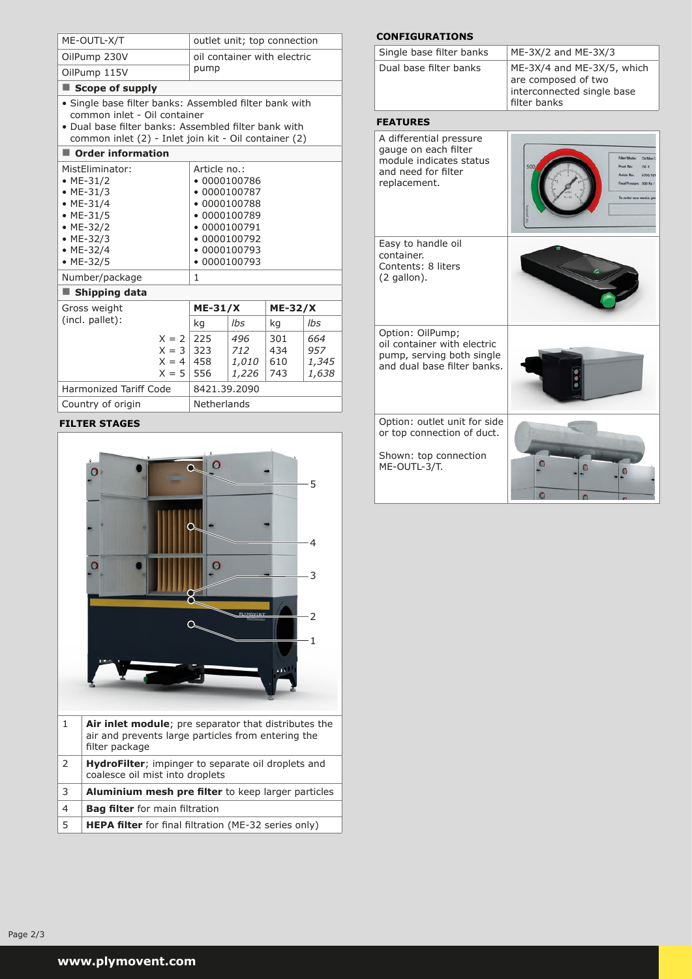| ME-OUTL-X/T                                                                                                                                                                                             |                                                            |                                                                                                                                       | outlet unit; top connection          |                          |                              |  |
|---------------------------------------------------------------------------------------------------------------------------------------------------------------------------------------------------------|------------------------------------------------------------|---------------------------------------------------------------------------------------------------------------------------------------|--------------------------------------|--------------------------|------------------------------|--|
| OilPump 230V                                                                                                                                                                                            |                                                            | oil container with electric<br>pump                                                                                                   |                                      |                          |                              |  |
| OilPump 115V                                                                                                                                                                                            |                                                            |                                                                                                                                       |                                      |                          |                              |  |
| Scope of supply                                                                                                                                                                                         |                                                            |                                                                                                                                       |                                      |                          |                              |  |
| · Single base filter banks: Assembled filter bank with<br>common inlet - Oil container<br>• Dual base filter banks: Assembled filter bank with<br>common inlet (2) - Inlet join kit - Oil container (2) |                                                            |                                                                                                                                       |                                      |                          |                              |  |
| Order information                                                                                                                                                                                       |                                                            |                                                                                                                                       |                                      |                          |                              |  |
| MistEliminator:<br>• ME-31/2<br>• $ME-31/3$<br>$·$ ME-31/4<br>$•$ ME-31/5<br>• ME-32/2<br>• $ME-32/3$<br>• $ME-32/4$<br>$·$ ME-32/5<br>Number/package<br>Shipping data                                  |                                                            | Article no.:<br>$-0000100786$<br>$-0000100789$<br>$\bullet$ 0000100791<br>$-0000100792$<br>$-0000100793$<br>$\bullet$ 0000100793<br>1 | • 0000100787<br>$\bullet$ 0000100788 |                          |                              |  |
| Gross weight                                                                                                                                                                                            |                                                            | <b>ME-31/X</b>                                                                                                                        |                                      | <b>ME-32/X</b>           |                              |  |
| (incl. pallet):                                                                                                                                                                                         |                                                            | kg                                                                                                                                    | lhs                                  | kg                       | lbs                          |  |
|                                                                                                                                                                                                         | $X = 2 \mid 225$<br>$X = 3$<br>$X = 4 \mid 458$<br>$X = 5$ | 323<br>556                                                                                                                            | 496<br>712<br><i>1,010</i><br>1,226  | 301<br>434<br>610<br>743 | 664<br>957<br>1,345<br>1,638 |  |
| <b>Harmonized Tariff Code</b>                                                                                                                                                                           |                                                            | 8421.39.2090                                                                                                                          |                                      |                          |                              |  |
| Country of origin                                                                                                                                                                                       |                                                            | Netherlands                                                                                                                           |                                      |                          |                              |  |
|                                                                                                                                                                                                         |                                                            |                                                                                                                                       |                                      |                          |                              |  |

## **filter stages**



## **configurations**

| Single base filter banks | $ME-3X/2$ and $ME-3X/3$                                                                         |
|--------------------------|-------------------------------------------------------------------------------------------------|
| Dual base filter banks   | ME-3X/4 and ME-3X/5, which<br>are composed of two<br>interconnected single base<br>filter banks |
|                          |                                                                                                 |

# **features**

| A differential pressure<br>gauge on each filter<br>module indicates status<br>and need for filter<br>replacement. | Oil Med<br>500<br>00.1<br>Provi Nev<br>6705.10<br>Final Pressure: 500 Pa /<br>In order new medi |
|-------------------------------------------------------------------------------------------------------------------|-------------------------------------------------------------------------------------------------|
| Easy to handle oil<br>container.<br>Contents: 8 liters<br>$(2$ gallon).                                           |                                                                                                 |
| Option: OilPump;<br>oil container with electric<br>pump, serving both single<br>and dual base filter banks.       |                                                                                                 |
| Option: outlet unit for side<br>or top connection of duct.<br>Shown: top connection<br>ME-OUTL-3/T.               |                                                                                                 |